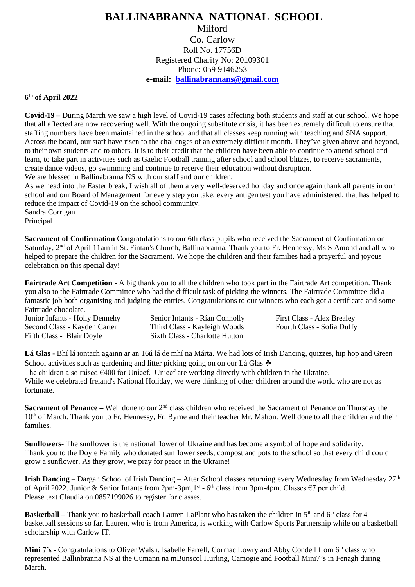## **BALLINABRANNA NATIONAL SCHOOL** Milford Co. Carlow Roll No. 17756D Registered Charity No: 20109301 Phone: 059 9146253 **e-mail: [ballinabrannans@gmail.com](mailto:ballinabrannans@gmail.com)**

## **6 th of April 2022**

**Covid-19 –** During March we saw a high level of Covid-19 cases affecting both students and staff at our school. We hope that all affected are now recovering well. With the ongoing substitute crisis, it has been extremely difficult to ensure that staffing numbers have been maintained in the school and that all classes keep running with teaching and SNA support. Across the board, our staff have risen to the challenges of an extremely difficult month. They've given above and beyond, to their own students and to others. It is to their credit that the children have been able to continue to attend school and learn, to take part in activities such as Gaelic Football training after school and school blitzes, to receive sacraments, create dance videos, go swimming and continue to receive their education without disruption.

We are blessed in Ballinabranna NS with our staff and our children.

As we head into the Easter break, I wish all of them a very well-deserved holiday and once again thank all parents in our school and our Board of Management for every step you take, every antigen test you have administered, that has helped to reduce the impact of Covid-19 on the school community.

Sandra Corrigan Principal

**Sacrament of Confirmation** Congratulations to our 6th class pupils who received the Sacrament of Confirmation on Saturday, 2<sup>nd</sup> of April 11am in St. Fintan's Church, Ballinabranna. Thank you to Fr. Hennessy, Ms S Amond and all who helped to prepare the children for the Sacrament. We hope the children and their families had a prayerful and joyous celebration on this special day!

**Fairtrade Art Competition** - A big thank you to all the children who took part in the Fairtrade Art competition. Thank you also to the Fairtrade Committee who had the difficult task of picking the winners. The Fairtrade Committee did a fantastic job both organising and judging the entries. Congratulations to our winners who each got a certificate and some Fairtrade chocolate.

Junior Infants - Holly Dennehy Senior Infants - Rían Connolly First Class - Alex Brealey Second Class - Kayden Carter Third Class - Kayleigh Woods Fourth Class - Sofía Duffy Fifth Class - Blair Doyle Sixth Class - Charlotte Hutton

**Lá Glas -** Bhí lá iontach againn ar an 16ú lá de mhí na Márta. We had lots of Irish Dancing, quizzes, hip hop and Green School activities such as gardening and litter picking going on on our Lá Glas

The children also raised  $\epsilon$ 400 for Unicef. Unicef are working directly with children in the Ukraine. While we celebrated Ireland's National Holiday, we were thinking of other children around the world who are not as fortunate.

**Sacrament of Penance** – Well done to our 2<sup>nd</sup> class children who received the Sacrament of Penance on Thursday the 10<sup>th</sup> of March. Thank you to Fr. Hennessy, Fr. Byrne and their teacher Mr. Mahon. Well done to all the children and their families.

**Sunflowers**- The sunflower is the national flower of Ukraine and has become a symbol of hope and solidarity. Thank you to the Doyle Family who donated sunflower seeds, compost and pots to the school so that every child could grow a sunflower. As they grow, we pray for peace in the Ukraine!

**Irish Dancing** – Dargan School of Irish Dancing – After School classes returning every Wednesday from Wednesday  $27<sup>th</sup>$ of April 2022. Junior & Senior Infants from 2pm-3pm, 1<sup>st</sup> - 6<sup>th</sup> class from 3pm-4pm. Classes €7 per child. Please text Claudia on 0857199026 to register for classes.

**Basketball** – Thank you to basketball coach Lauren LaPlant who has taken the children in 5<sup>th</sup> and 6<sup>th</sup> class for 4 basketball sessions so far. Lauren, who is from America, is working with Carlow Sports Partnership while on a basketball scholarship with Carlow IT.

**Mini 7's -** Congratulations to Oliver Walsh, Isabelle Farrell, Cormac Lowry and Abby Condell from 6<sup>th</sup> class who represented Ballinbranna NS at the Cumann na mBunscol Hurling, Camogie and Football Mini7's in Fenagh during March.